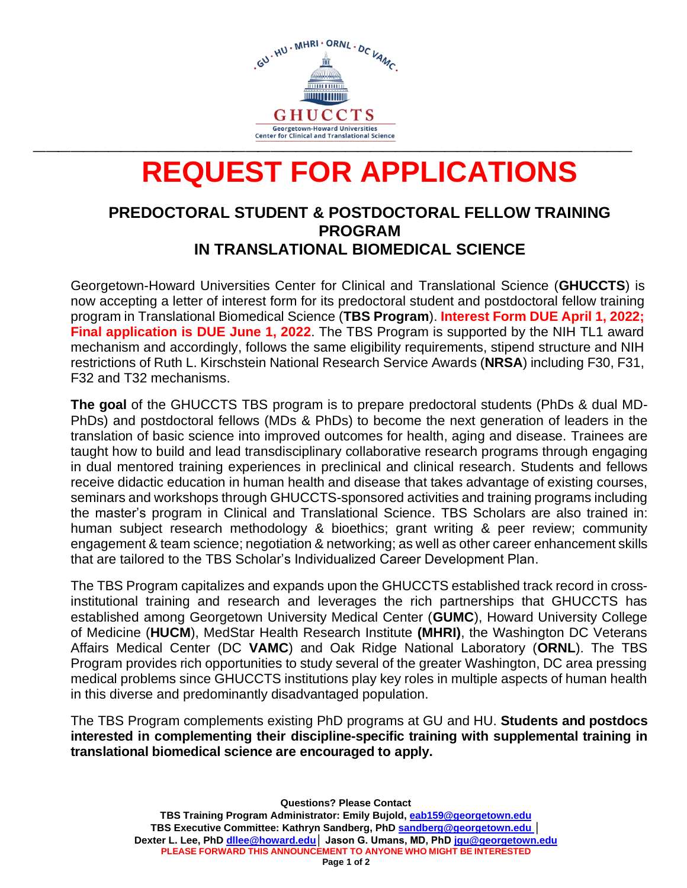

# **REQUEST FOR APPLICATIONS**

#### **PREDOCTORAL STUDENT & POSTDOCTORAL FELLOW TRAINING PROGRAM IN TRANSLATIONAL BIOMEDICAL SCIENCE**

Georgetown-Howard Universities Center for Clinical and Translational Science (**GHUCCTS**) is now accepting a letter of interest form for its predoctoral student and postdoctoral fellow training program in Translational Biomedical Science (**TBS Program**). **Interest Form DUE April 1, 2022; Final application is DUE June 1, 2022**. The TBS Program is supported by the NIH TL1 award mechanism and accordingly, follows the same eligibility requirements, stipend structure and NIH restrictions of Ruth L. Kirschstein National Research Service Awards (**NRSA**) including F30, F31, F32 and T32 mechanisms.

**The goal** of the GHUCCTS TBS program is to prepare predoctoral students (PhDs & dual MD-PhDs) and postdoctoral fellows (MDs & PhDs) to become the next generation of leaders in the translation of basic science into improved outcomes for health, aging and disease. Trainees are taught how to build and lead transdisciplinary collaborative research programs through engaging in dual mentored training experiences in preclinical and clinical research. Students and fellows receive didactic education in human health and disease that takes advantage of existing courses, seminars and workshops through GHUCCTS-sponsored activities and training programs including the master's program in Clinical and Translational Science. TBS Scholars are also trained in: human subject research methodology & bioethics; grant writing & peer review; community engagement & team science; negotiation & networking; as well as other career enhancement skills that are tailored to the TBS Scholar's Individualized Career Development Plan.

The TBS Program capitalizes and expands upon the GHUCCTS established track record in crossinstitutional training and research and leverages the rich partnerships that GHUCCTS has established among Georgetown University Medical Center (**GUMC**), Howard University College of Medicine (**HUCM**), MedStar Health Research Institute **(MHRI)**, the Washington DC Veterans Affairs Medical Center (DC **VAMC**) and Oak Ridge National Laboratory (**ORNL**). The TBS Program provides rich opportunities to study several of the greater Washington, DC area pressing medical problems since GHUCCTS institutions play key roles in multiple aspects of human health in this diverse and predominantly disadvantaged population.

The TBS Program complements existing PhD programs at GU and HU. **Students and postdocs interested in complementing their discipline-specific training with supplemental training in translational biomedical science are encouraged to apply.**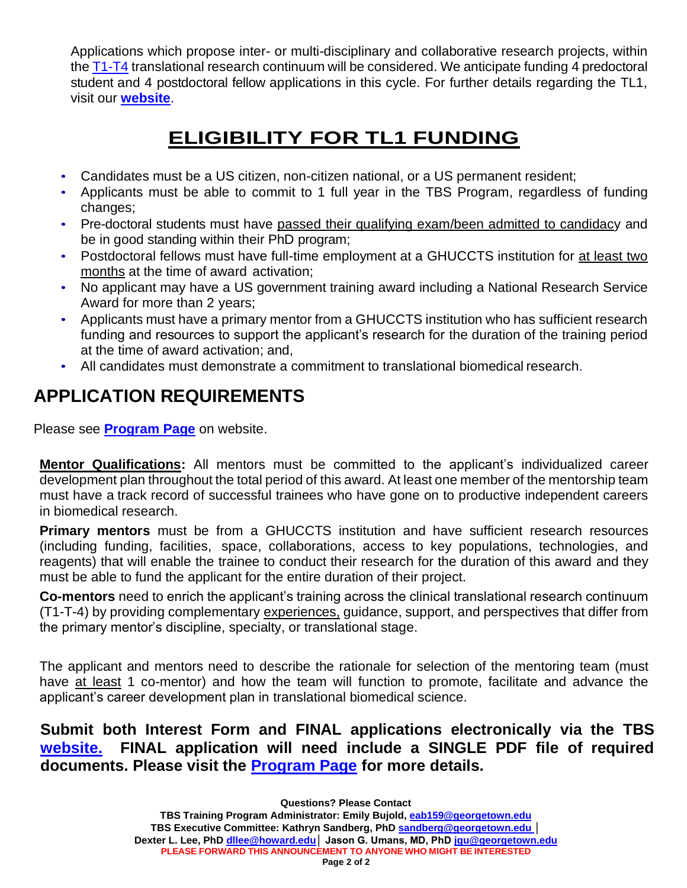Applications which propose inter- or multi-disciplinary and collaborative research projects, within the [T1-T4](https://ncats.nih.gov/translation/spectrum) translational research continuum will be considered. We anticipate funding 4 predoctoral student and 4 postdoctoral fellow applications in this cycle. For further details regarding the TL1, visit our **[website](https://www.translationalbiomedicalscience.org/)**.

## **ELIGIBILITY FOR TL1 FUNDING**

- Candidates must be a US citizen, non-citizen national, or a US permanent resident;
- Applicants must be able to commit to 1 full year in the TBS Program, regardless of funding changes;
- Pre-doctoral students must have passed their qualifying exam/been admitted to candidacy and be in good standing within their PhD program;
- Postdoctoral fellows must have full-time employment at a GHUCCTS institution for at least two months at the time of award activation;
- No applicant may have a US government training award including a National Research Service Award for more than 2 years;
- Applicants must have a primary mentor from a GHUCCTS institution who has sufficient research funding and resources to support the applicant's research for the duration of the training period at the time of award activation; and,
- All candidates must demonstrate a commitment to translational biomedical research.

## **APPLICATION REQUIREMENTS**

Please see **[Program Page](https://www.translationalbiomedicalscience.org/program)** on website.

**Mentor Qualifications:** All mentors must be committed to the applicant's individualized career development plan throughout the total period of this award. At least one member of the mentorship team must have a track record of successful trainees who have gone on to productive independent careers in biomedical research.

**Primary mentors** must be from a GHUCCTS institution and have sufficient research resources (including funding, facilities, space, collaborations, access to key populations, technologies, and reagents) that will enable the trainee to conduct their research for the duration of this award and they must be able to fund the applicant for the entire duration of their project.

**Co-mentors** need to enrich the applicant's training across the clinical translational research continuum (T1-T-4) by providing complementary experiences, guidance, support, and perspectives that differ from the primary mentor's discipline, specialty, or translational stage.

The applicant and mentors need to describe the rationale for selection of the mentoring team (must have at least 1 co-mentor) and how the team will function to promote, facilitate and advance the applicant's career development plan in translational biomedical science.

**Submit both Interest Form and FINAL applications electronically via the TBS [website.](https://www.translationalbiomedicalscience.org/program) FINAL application will need include a SINGLE PDF file of required documents. Please visit the [Program Page](https://www.translationalbiomedicalscience.org/program) for more details.**